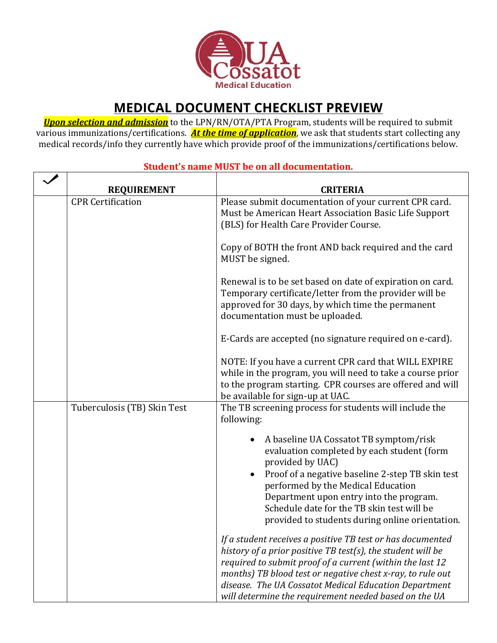

## **MEDICAL DOCUMENT CHECKLIST PREVIEW**

*Upon selection and admission* to the LPN/RN/OTA/PTA Program, students will be required to submit various immunizations/certifications. *At the time of application*, we ask that students start collecting any medical records/info they currently have which provide proof of the immunizations/certifications below.

| <b>REQUIREMENT</b>          | <b>CRITERIA</b>                                                                                                                                                                                                                                                                                                                                                        |
|-----------------------------|------------------------------------------------------------------------------------------------------------------------------------------------------------------------------------------------------------------------------------------------------------------------------------------------------------------------------------------------------------------------|
| <b>CPR</b> Certification    | Please submit documentation of your current CPR card.<br>Must be American Heart Association Basic Life Support<br>(BLS) for Health Care Provider Course.                                                                                                                                                                                                               |
|                             | Copy of BOTH the front AND back required and the card<br>MUST be signed.                                                                                                                                                                                                                                                                                               |
|                             | Renewal is to be set based on date of expiration on card.<br>Temporary certificate/letter from the provider will be<br>approved for 30 days, by which time the permanent<br>documentation must be uploaded.                                                                                                                                                            |
|                             | E-Cards are accepted (no signature required on e-card).                                                                                                                                                                                                                                                                                                                |
|                             | NOTE: If you have a current CPR card that WILL EXPIRE<br>while in the program, you will need to take a course prior<br>to the program starting. CPR courses are offered and will<br>be available for sign-up at UAC.                                                                                                                                                   |
| Tuberculosis (TB) Skin Test | The TB screening process for students will include the<br>following:                                                                                                                                                                                                                                                                                                   |
|                             | A baseline UA Cossatot TB symptom/risk<br>evaluation completed by each student (form<br>provided by UAC)<br>Proof of a negative baseline 2-step TB skin test<br>performed by the Medical Education<br>Department upon entry into the program.<br>Schedule date for the TB skin test will be<br>provided to students during online orientation.                         |
|                             | If a student receives a positive TB test or has documented<br>history of a prior positive TB test(s), the student will be<br>required to submit proof of a current (within the last 12<br>months) TB blood test or negative chest x-ray, to rule out<br>disease. The UA Cossatot Medical Education Department<br>will determine the requirement needed based on the UA |

## **Student's name MUST be on all documentation.**

 $\overline{\mathbf{1}}$ 

 $\Gamma$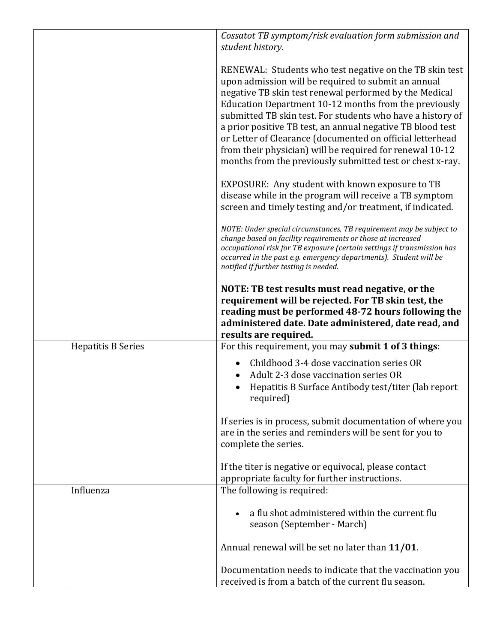|                           | Cossatot TB symptom/risk evaluation form submission and<br>student history.                                                                                                                                                                                                                                                                                                                                                                                                                                                                         |
|---------------------------|-----------------------------------------------------------------------------------------------------------------------------------------------------------------------------------------------------------------------------------------------------------------------------------------------------------------------------------------------------------------------------------------------------------------------------------------------------------------------------------------------------------------------------------------------------|
|                           | RENEWAL: Students who test negative on the TB skin test<br>upon admission will be required to submit an annual<br>negative TB skin test renewal performed by the Medical<br>Education Department 10-12 months from the previously<br>submitted TB skin test. For students who have a history of<br>a prior positive TB test, an annual negative TB blood test<br>or Letter of Clearance (documented on official letterhead<br>from their physician) will be required for renewal 10-12<br>months from the previously submitted test or chest x-ray. |
|                           | EXPOSURE: Any student with known exposure to TB<br>disease while in the program will receive a TB symptom<br>screen and timely testing and/or treatment, if indicated.                                                                                                                                                                                                                                                                                                                                                                              |
|                           | NOTE: Under special circumstances, TB requirement may be subject to<br>change based on facility requirements or those at increased<br>occupational risk for TB exposure (certain settings if transmission has<br>occurred in the past e.g. emergency departments). Student will be<br>notified if further testing is needed.                                                                                                                                                                                                                        |
|                           | NOTE: TB test results must read negative, or the<br>requirement will be rejected. For TB skin test, the<br>reading must be performed 48-72 hours following the<br>administered date. Date administered, date read, and<br>results are required.                                                                                                                                                                                                                                                                                                     |
| <b>Hepatitis B Series</b> | For this requirement, you may submit 1 of 3 things:                                                                                                                                                                                                                                                                                                                                                                                                                                                                                                 |
|                           | Childhood 3-4 dose vaccination series OR<br>Adult 2-3 dose vaccination series OR<br>Hepatitis B Surface Antibody test/titer (lab report<br>required)                                                                                                                                                                                                                                                                                                                                                                                                |
|                           | If series is in process, submit documentation of where you<br>are in the series and reminders will be sent for you to<br>complete the series.                                                                                                                                                                                                                                                                                                                                                                                                       |
|                           | If the titer is negative or equivocal, please contact<br>appropriate faculty for further instructions.                                                                                                                                                                                                                                                                                                                                                                                                                                              |
| Influenza                 | The following is required:                                                                                                                                                                                                                                                                                                                                                                                                                                                                                                                          |
|                           | a flu shot administered within the current flu<br>season (September - March)                                                                                                                                                                                                                                                                                                                                                                                                                                                                        |
|                           | Annual renewal will be set no later than 11/01.                                                                                                                                                                                                                                                                                                                                                                                                                                                                                                     |
|                           | Documentation needs to indicate that the vaccination you<br>received is from a batch of the current flu season.                                                                                                                                                                                                                                                                                                                                                                                                                                     |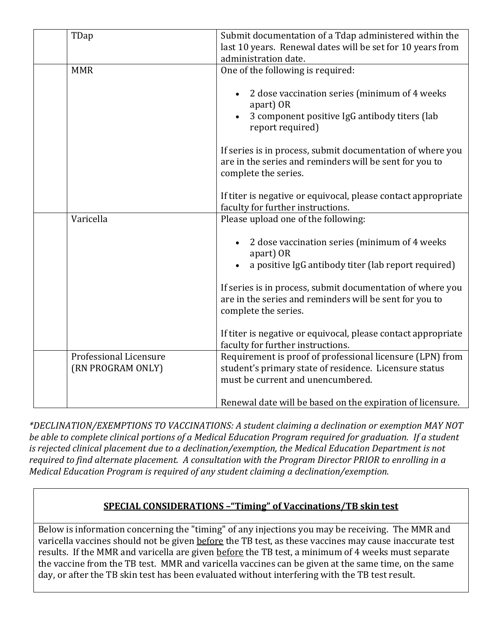| TDap                                        | Submit documentation of a Tdap administered within the<br>last 10 years. Renewal dates will be set for 10 years from<br>administration date.             |
|---------------------------------------------|----------------------------------------------------------------------------------------------------------------------------------------------------------|
| <b>MMR</b>                                  | One of the following is required:                                                                                                                        |
|                                             | 2 dose vaccination series (minimum of 4 weeks<br>apart) OR<br>3 component positive IgG antibody titers (lab<br>report required)                          |
|                                             | If series is in process, submit documentation of where you<br>are in the series and reminders will be sent for you to<br>complete the series.            |
|                                             | If titer is negative or equivocal, please contact appropriate<br>faculty for further instructions.                                                       |
| Varicella                                   | Please upload one of the following:                                                                                                                      |
|                                             | 2 dose vaccination series (minimum of 4 weeks<br>apart) OR<br>a positive IgG antibody titer (lab report required)                                        |
|                                             | If series is in process, submit documentation of where you<br>are in the series and reminders will be sent for you to<br>complete the series.            |
|                                             | If titer is negative or equivocal, please contact appropriate<br>faculty for further instructions.                                                       |
| Professional Licensure<br>(RN PROGRAM ONLY) | Requirement is proof of professional licensure (LPN) from<br>student's primary state of residence. Licensure status<br>must be current and unencumbered. |
|                                             | Renewal date will be based on the expiration of licensure.                                                                                               |

*\*DECLINATION/EXEMPTIONS TO VACCINATIONS: A student claiming a declination or exemption MAY NOT*  be able to complete clinical portions of a Medical Education Program required for graduation. If a student *is rejected clinical placement due to a declination/exemption, the Medical Education Department is not required to find alternate placement. A consultation with the Program Director PRIOR to enrolling in a Medical Education Program is required of any student claiming a declination/exemption.*

## **SPECIAL CONSIDERATIONS –"Timing" of Vaccinations/TB skin test**

Below is information concerning the "timing" of any injections you may be receiving. The MMR and varicella vaccines should not be given before the TB test, as these vaccines may cause inaccurate test results. If the MMR and varicella are given before the TB test, a minimum of 4 weeks must separate the vaccine from the TB test. MMR and varicella vaccines can be given at the same time, on the same day, or after the TB skin test has been evaluated without interfering with the TB test result.